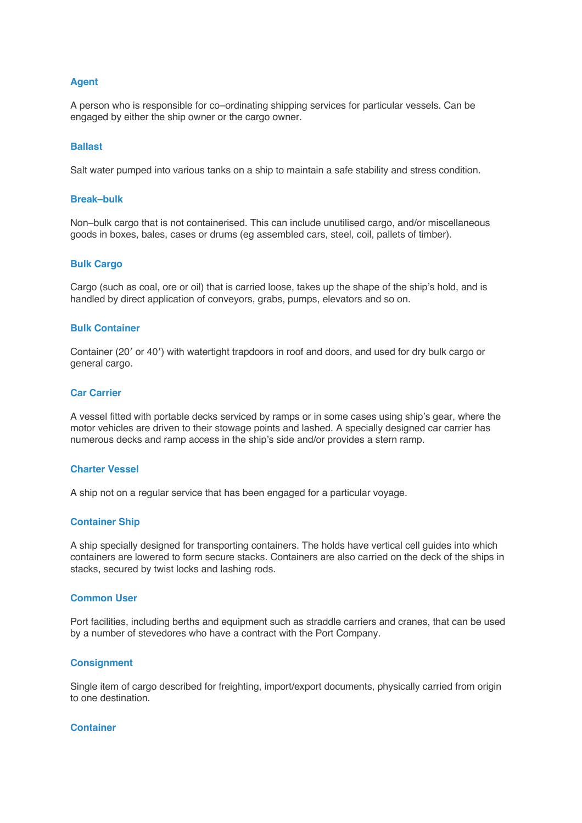# **Agent**

A person who is responsible for co–ordinating shipping services for particular vessels. Can be engaged by either the ship owner or the cargo owner.

# **Ballast**

Salt water pumped into various tanks on a ship to maintain a safe stability and stress condition.

#### **Break–bulk**

Non–bulk cargo that is not containerised. This can include unutilised cargo, and/or miscellaneous goods in boxes, bales, cases or drums (eg assembled cars, steel, coil, pallets of timber).

### **Bulk Cargo**

Cargo (such as coal, ore or oil) that is carried loose, takes up the shape of the ship's hold, and is handled by direct application of conveyors, grabs, pumps, elevators and so on.

#### **Bulk Container**

Container (20′ or 40′) with watertight trapdoors in roof and doors, and used for dry bulk cargo or general cargo.

# **Car Carrier**

A vessel fitted with portable decks serviced by ramps or in some cases using ship's gear, where the motor vehicles are driven to their stowage points and lashed. A specially designed car carrier has numerous decks and ramp access in the ship's side and/or provides a stern ramp.

#### **Charter Vessel**

A ship not on a regular service that has been engaged for a particular voyage.

#### **Container Ship**

A ship specially designed for transporting containers. The holds have vertical cell guides into which containers are lowered to form secure stacks. Containers are also carried on the deck of the ships in stacks, secured by twist locks and lashing rods.

#### **Common User**

Port facilities, including berths and equipment such as straddle carriers and cranes, that can be used by a number of stevedores who have a contract with the Port Company.

## **Consignment**

Single item of cargo described for freighting, import/export documents, physically carried from origin to one destination.

#### **Container**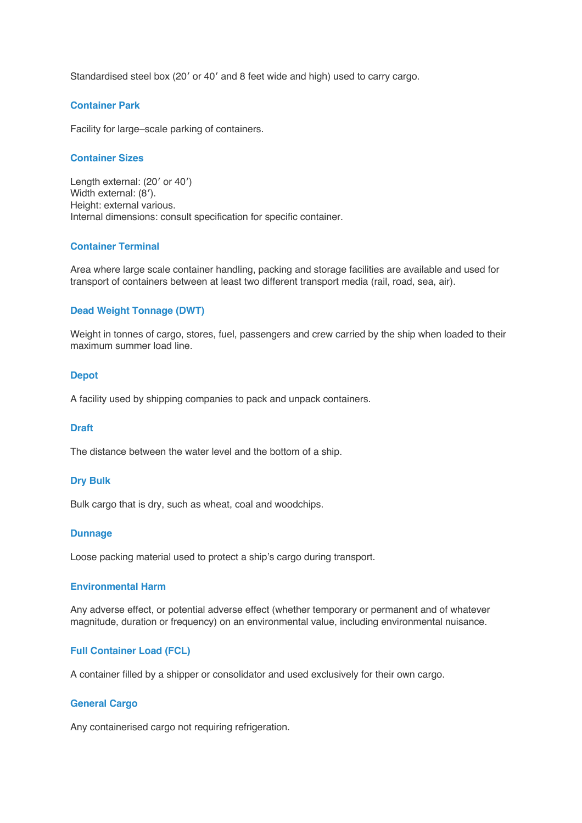Standardised steel box (20′ or 40′ and 8 feet wide and high) used to carry cargo.

# **Container Park**

Facility for large–scale parking of containers.

## **Container Sizes**

Length external: (20′ or 40′) Width external: (8'). Height: external various. Internal dimensions: consult specification for specific container.

# **Container Terminal**

Area where large scale container handling, packing and storage facilities are available and used for transport of containers between at least two different transport media (rail, road, sea, air).

# **Dead Weight Tonnage (DWT)**

Weight in tonnes of cargo, stores, fuel, passengers and crew carried by the ship when loaded to their maximum summer load line.

## **Depot**

A facility used by shipping companies to pack and unpack containers.

## **Draft**

The distance between the water level and the bottom of a ship.

## **Dry Bulk**

Bulk cargo that is dry, such as wheat, coal and woodchips.

## **Dunnage**

Loose packing material used to protect a ship's cargo during transport.

# **Environmental Harm**

Any adverse effect, or potential adverse effect (whether temporary or permanent and of whatever magnitude, duration or frequency) on an environmental value, including environmental nuisance.

## **Full Container Load (FCL)**

A container filled by a shipper or consolidator and used exclusively for their own cargo.

## **General Cargo**

Any containerised cargo not requiring refrigeration.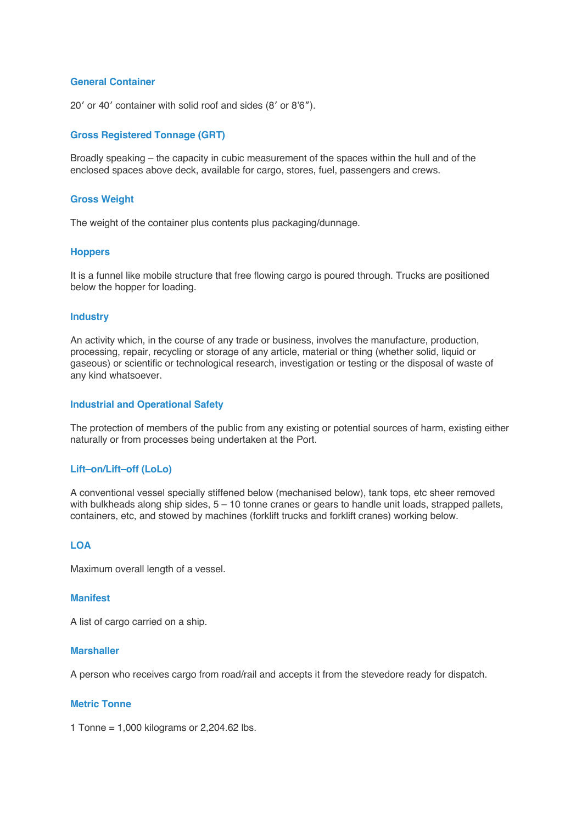# **General Container**

20′ or 40′ container with solid roof and sides (8′ or 8'6″).

# **Gross Registered Tonnage (GRT)**

Broadly speaking – the capacity in cubic measurement of the spaces within the hull and of the enclosed spaces above deck, available for cargo, stores, fuel, passengers and crews.

## **Gross Weight**

The weight of the container plus contents plus packaging/dunnage.

## **Hoppers**

It is a funnel like mobile structure that free flowing cargo is poured through. Trucks are positioned below the hopper for loading.

## **Industry**

An activity which, in the course of any trade or business, involves the manufacture, production, processing, repair, recycling or storage of any article, material or thing (whether solid, liquid or gaseous) or scientific or technological research, investigation or testing or the disposal of waste of any kind whatsoever.

## **Industrial and Operational Safety**

The protection of members of the public from any existing or potential sources of harm, existing either naturally or from processes being undertaken at the Port.

## **Lift–on/Lift–off (LoLo)**

A conventional vessel specially stiffened below (mechanised below), tank tops, etc sheer removed with bulkheads along ship sides,  $5 - 10$  tonne cranes or gears to handle unit loads, strapped pallets, containers, etc, and stowed by machines (forklift trucks and forklift cranes) working below.

# **LOA**

Maximum overall length of a vessel.

# **Manifest**

A list of cargo carried on a ship.

# **Marshaller**

A person who receives cargo from road/rail and accepts it from the stevedore ready for dispatch.

# **Metric Tonne**

1 Tonne = 1,000 kilograms or 2,204.62 lbs.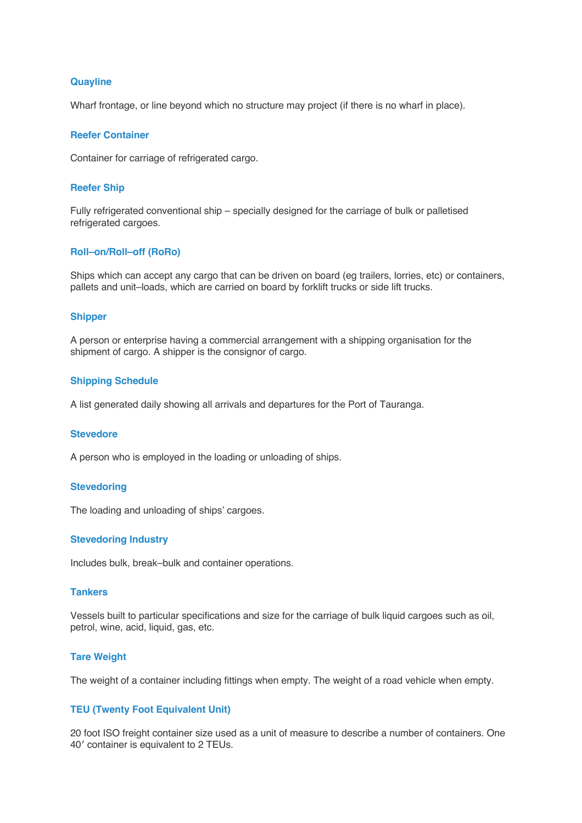# **Quayline**

Wharf frontage, or line beyond which no structure may project (if there is no wharf in place).

## **Reefer Container**

Container for carriage of refrigerated cargo.

# **Reefer Ship**

Fully refrigerated conventional ship – specially designed for the carriage of bulk or palletised refrigerated cargoes.

### **Roll–on/Roll–off (RoRo)**

Ships which can accept any cargo that can be driven on board (eg trailers, lorries, etc) or containers, pallets and unit–loads, which are carried on board by forklift trucks or side lift trucks.

# **Shipper**

A person or enterprise having a commercial arrangement with a shipping organisation for the shipment of cargo. A shipper is the consignor of cargo.

#### **Shipping Schedule**

A list generated daily showing all arrivals and departures for the Port of Tauranga.

### **Stevedore**

A person who is employed in the loading or unloading of ships.

# **Stevedoring**

The loading and unloading of ships' cargoes.

#### **Stevedoring Industry**

Includes bulk, break–bulk and container operations.

#### **Tankers**

Vessels built to particular specifications and size for the carriage of bulk liquid cargoes such as oil, petrol, wine, acid, liquid, gas, etc.

# **Tare Weight**

The weight of a container including fittings when empty. The weight of a road vehicle when empty.

# **TEU (Twenty Foot Equivalent Unit)**

20 foot ISO freight container size used as a unit of measure to describe a number of containers. One 40′ container is equivalent to 2 TEUs.